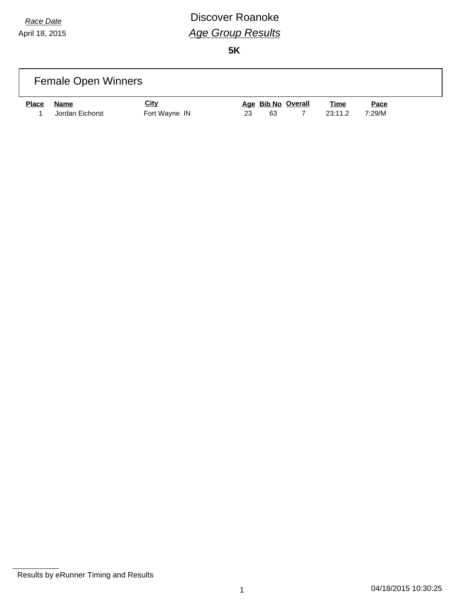# *Race Date* **Discover Roanoke** *Age Group Results*

|              | <b>Female Open Winners</b>     |                              |    |    |                    |                        |                |  |
|--------------|--------------------------------|------------------------------|----|----|--------------------|------------------------|----------------|--|
| <b>Place</b> | <u>Name</u><br>Jordan Eichorst | <u>City</u><br>Fort Wayne IN | 23 | 63 | Age Bib No Overall | <u>Time</u><br>23:11.2 | Pace<br>7:29/M |  |

Results by eRunner Timing and Results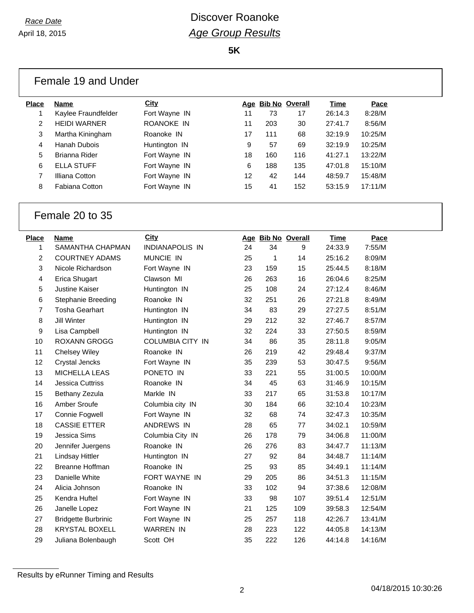**5K**

|              | Female 19 and Under   |               |    |     |                    |         |         |  |
|--------------|-----------------------|---------------|----|-----|--------------------|---------|---------|--|
| <b>Place</b> | <b>Name</b>           | <b>City</b>   |    |     | Age Bib No Overall | Time    | Pace    |  |
|              | Kaylee Fraundfelder   | Fort Wayne IN | 11 | 73  | 17                 | 26:14.3 | 8:28/M  |  |
| 2            | <b>HEIDI WARNER</b>   | ROANOKE IN    | 11 | 203 | 30                 | 27:41.7 | 8:56/M  |  |
| 3            | Martha Kiningham      | Roanoke IN    | 17 | 111 | 68                 | 32:19.9 | 10:25/M |  |
| 4            | Hanah Dubois          | Huntington IN | 9  | 57  | 69                 | 32:19.9 | 10:25/M |  |
| 5            | Brianna Rider         | Fort Wayne IN | 18 | 160 | 116                | 41:27.1 | 13:22/M |  |
| 6            | <b>ELLA STUFF</b>     | Fort Wayne IN | 6  | 188 | 135                | 47:01.8 | 15:10/M |  |
| 7            | Illiana Cotton        | Fort Wayne IN | 12 | 42  | 144                | 48:59.7 | 15:48/M |  |
| 8            | <b>Fabiana Cotton</b> | Fort Wayne IN | 15 | 41  | 152                | 53:15.9 | 17:11/M |  |

### Female 20 to 35

| Place          | Name                       | <b>City</b>             |    | Age Bib No Overall |     | Time    | Pace    |
|----------------|----------------------------|-------------------------|----|--------------------|-----|---------|---------|
| 1              | SAMANTHA CHAPMAN           | <b>INDIANAPOLIS IN</b>  | 24 | 34                 | 9   | 24:33.9 | 7:55/M  |
| $\overline{c}$ | <b>COURTNEY ADAMS</b>      | MUNCIE IN               | 25 | 1                  | 14  | 25:16.2 | 8:09/M  |
| 3              | Nicole Richardson          | Fort Wayne IN           | 23 | 159                | 15  | 25:44.5 | 8:18/M  |
| 4              | Erica Shugart              | Clawson MI              | 26 | 263                | 16  | 26:04.6 | 8:25/M  |
| 5              | <b>Justine Kaiser</b>      | Huntington IN           | 25 | 108                | 24  | 27:12.4 | 8:46/M  |
| 6              | Stephanie Breeding         | Roanoke IN              | 32 | 251                | 26  | 27:21.8 | 8:49/M  |
| $\overline{7}$ | <b>Tosha Gearhart</b>      | Huntington IN           | 34 | 83                 | 29  | 27:27.5 | 8:51/M  |
| 8              | Jill Winter                | Huntington IN           | 29 | 212                | 32  | 27:46.7 | 8:57/M  |
| 9              | Lisa Campbell              | Huntington IN           | 32 | 224                | 33  | 27:50.5 | 8:59/M  |
| 10             | <b>ROXANN GROGG</b>        | <b>COLUMBIA CITY IN</b> | 34 | 86                 | 35  | 28:11.8 | 9:05/M  |
| 11             | <b>Chelsey Wiley</b>       | Roanoke IN              | 26 | 219                | 42  | 29:48.4 | 9:37/M  |
| 12             | <b>Crystal Jencks</b>      | Fort Wayne IN           | 35 | 239                | 53  | 30:47.5 | 9:56/M  |
| 13             | MICHELLA LEAS              | PONETO IN               | 33 | 221                | 55  | 31:00.5 | 10:00/M |
| 14             | <b>Jessica Cuttriss</b>    | Roanoke IN              | 34 | 45                 | 63  | 31:46.9 | 10:15/M |
| 15             | Bethany Zezula             | Markle IN               | 33 | 217                | 65  | 31:53.8 | 10:17/M |
| 16             | Amber Sroufe               | Columbia city IN        | 30 | 184                | 66  | 32:10.4 | 10:23/M |
| 17             | Connie Fogwell             | Fort Wayne IN           | 32 | 68                 | 74  | 32:47.3 | 10:35/M |
| 18             | <b>CASSIE ETTER</b>        | ANDREWS IN              | 28 | 65                 | 77  | 34:02.1 | 10:59/M |
| 19             | Jessica Sims               | Columbia City IN        | 26 | 178                | 79  | 34:06.8 | 11:00/M |
| 20             | Jennifer Juergens          | Roanoke IN              | 26 | 276                | 83  | 34:47.7 | 11:13/M |
| 21             | Lindsay Hittler            | Huntington IN           | 27 | 92                 | 84  | 34:48.7 | 11:14/M |
| 22             | <b>Breanne Hoffman</b>     | Roanoke IN              | 25 | 93                 | 85  | 34:49.1 | 11:14/M |
| 23             | Danielle White             | <b>FORT WAYNE IN</b>    | 29 | 205                | 86  | 34:51.3 | 11:15/M |
| 24             | Alicia Johnson             | Roanoke IN              | 33 | 102                | 94  | 37:38.6 | 12:08/M |
| 25             | Kendra Huftel              | Fort Wayne IN           | 33 | 98                 | 107 | 39:51.4 | 12:51/M |
| 26             | Janelle Lopez              | Fort Wayne IN           | 21 | 125                | 109 | 39:58.3 | 12:54/M |
| 27             | <b>Bridgette Burbrinic</b> | Fort Wayne IN           | 25 | 257                | 118 | 42:26.7 | 13:41/M |
| 28             | <b>KRYSTAL BOXELL</b>      | <b>WARREN IN</b>        | 28 | 223                | 122 | 44:05.8 | 14:13/M |
| 29             | Juliana Bolenbaugh         | Scott OH                | 35 | 222                | 126 | 44:14.8 | 14:16/M |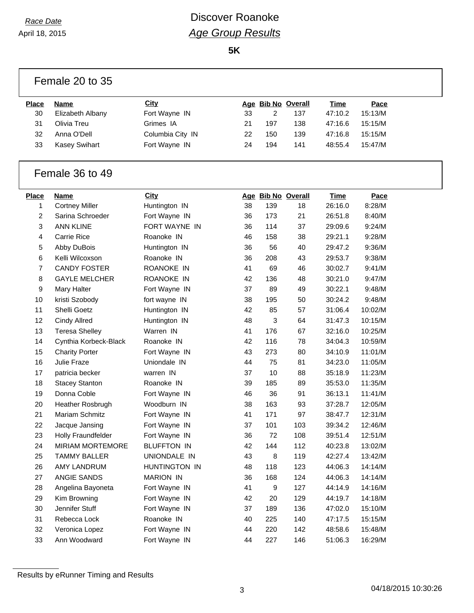## *Race Date* **Discover Roanoke** *Age Group Results*

**5K**

|              | Female 20 to 35                |                             |          |            |                    |                    |                    |  |
|--------------|--------------------------------|-----------------------------|----------|------------|--------------------|--------------------|--------------------|--|
| <b>Place</b> | <b>Name</b>                    | <b>City</b>                 |          |            | Age Bib No Overall | <b>Time</b>        | Pace               |  |
| 30           | Elizabeth Albany               | Fort Wayne IN               | 33       | 2          | 137                | 47:10.2            | 15:13/M            |  |
| 31           | Olivia Treu                    | Grimes IA                   | 21       | 197        | 138                | 47:16.6            | 15:15/M            |  |
| 32           | Anna O'Dell                    | Columbia City IN            | 22       | 150        | 139                | 47:16.8            | 15:15/M            |  |
| 33           | <b>Kasey Swihart</b>           | Fort Wayne IN               | 24       | 194        | 141                | 48:55.4            | 15:47/M            |  |
|              | Female 36 to 49                |                             |          |            |                    |                    |                    |  |
| <b>Place</b> | Name                           | <b>City</b>                 |          |            | Age Bib No Overall | <b>Time</b>        | Pace               |  |
| 1            | <b>Cortney Miller</b>          | Huntington IN               | 38       | 139        | 18                 | 26:16.0            | 8:28/M             |  |
| 2            | Sarina Schroeder               | Fort Wayne IN               | 36       | 173        | 21                 | 26:51.8            | 8:40/M             |  |
| 3            | <b>ANN KLINE</b>               | FORT WAYNE IN               | 36       | 114        | 37                 | 29:09.6            | 9:24/M             |  |
| 4            | <b>Carrie Rice</b>             | Roanoke IN                  | 46       | 158        | 38                 | 29:21.1            | 9:28/M             |  |
| 5            | Abby DuBois                    | Huntington IN               | 36       | 56         | 40                 | 29:47.2            | 9:36/M             |  |
| 6            | Kelli Wilcoxson                | Roanoke IN                  | 36       | 208        | 43                 | 29:53.7            | 9:38/M             |  |
| 7            | <b>CANDY FOSTER</b>            | ROANOKE IN                  | 41       | 69         | 46                 | 30:02.7            | 9:41/M             |  |
| 8            | <b>GAYLE MELCHER</b>           | ROANOKE IN                  | 42       | 136        | 48                 | 30:21.0            | 9:47/M             |  |
| 9            | <b>Mary Halter</b>             | Fort Wayne IN               | 37       | 89         | 49                 | 30:22.1            | 9:48/M             |  |
| 10           | kristi Szobody                 | fort wayne IN               | 38       | 195        | 50                 | 30:24.2            | 9:48/M             |  |
| 11           | Shelli Goetz                   | Huntington IN               | 42       | 85         | 57                 | 31:06.4            | 10:02/M            |  |
| 12           | <b>Cindy Allred</b>            | Huntington IN               | 48       | 3          | 64                 | 31:47.3            | 10:15/M            |  |
| 13           | <b>Teresa Shelley</b>          | Warren IN                   | 41       | 176        | 67                 | 32:16.0            | 10:25/M            |  |
| 14           | Cynthia Korbeck-Black          | Roanoke IN                  | 42       | 116        | 78                 | 34:04.3            | 10:59/M            |  |
| 15           | <b>Charity Porter</b>          | Fort Wayne IN               | 43       | 273        | 80                 | 34:10.9            | 11:01/M            |  |
| 16           | Julie Fraze                    | Uniondale IN                | 44       | 75         | 81                 | 34:23.0            | 11:05/M            |  |
| 17           | patricia becker                | warren IN                   | 37       | 10         | 88                 | 35:18.9            | 11:23/M            |  |
| 18           | <b>Stacey Stanton</b>          | Roanoke IN                  | 39       | 185        | 89                 | 35:53.0            | 11:35/M            |  |
| 19           | Donna Coble                    | Fort Wayne IN               | 46       | 36         | 91                 | 36:13.1            | 11:41/M            |  |
| 20           | Heather Rosbrugh               | Woodburn IN                 | 38       | 163        | 93                 | 37:28.7            | 12:05/M            |  |
| 21           | <b>Mariam Schmitz</b>          | Fort Wayne IN               | 41       | 171        | 97                 | 38:47.7            | 12:31/M            |  |
| 22           | Jacque Jansing                 | Fort Wayne IN               | 37       | 101        | 103                | 39:34.2            | 12:46/M            |  |
| 23           | Holly Fraundfelder             | Fort Wayne IN               | 36       | 72         | 108                | 39:51.4            | 12:51/M            |  |
| 24           | MIRIAM MORTEMORE               | <b>BLUFFTON IN</b>          | 42       | 144        | 112                | 40:23.8            | 13:02/M            |  |
| 25           | <b>TAMMY BALLER</b>            | UNIONDALE IN                | 43       | 8          | 119                | 42:27.4            | 13:42/M            |  |
| 26           | AMY LANDRUM                    | HUNTINGTON IN               | 48       | 118        | 123                | 44:06.3            | 14:14/M            |  |
| 27           | ANGIE SANDS                    | <b>MARION IN</b>            | 36       | 168        | 124                | 44:06.3            | 14:14/M            |  |
| 28           | Angelina Bayoneta              | Fort Wayne IN               | 41       | 9          | 127                | 44:14.9            | 14:16/M            |  |
| 29           |                                |                             | 42       | 20         | 129                | 44:19.7            | 14:18/M            |  |
| 30           |                                |                             |          |            |                    |                    |                    |  |
|              | Kim Browning                   | Fort Wayne IN               |          |            |                    |                    |                    |  |
|              | Jennifer Stuff                 | Fort Wayne IN               | 37       | 189        | 136                | 47:02.0            | 15:10/M            |  |
| 31<br>32     | Rebecca Lock<br>Veronica Lopez | Roanoke IN<br>Fort Wayne IN | 40<br>44 | 225<br>220 | 140<br>142         | 47:17.5<br>48:58.6 | 15:15/M<br>15:48/M |  |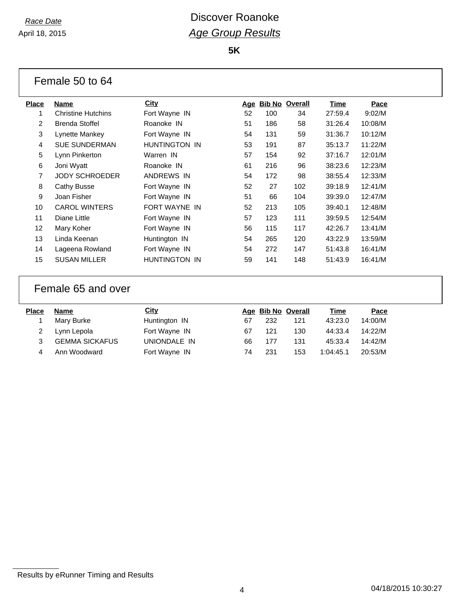**5K**

|                 | Female 50 to 64           |               |            |                       |     |             |         |
|-----------------|---------------------------|---------------|------------|-----------------------|-----|-------------|---------|
| <b>Place</b>    | <b>Name</b>               | <b>City</b>   | <u>Age</u> | <b>Bib No Overall</b> |     | <u>Time</u> | Pace    |
| 1               | <b>Christine Hutchins</b> | Fort Wayne IN | 52         | 100                   | 34  | 27:59.4     | 9:02/M  |
| 2               | <b>Brenda Stoffel</b>     | Roanoke IN    | 51         | 186                   | 58  | 31:26.4     | 10:08/M |
| 3               | Lynette Mankey            | Fort Wayne IN | 54         | 131                   | 59  | 31:36.7     | 10:12/M |
| 4               | <b>SUE SUNDERMAN</b>      | HUNTINGTON IN | 53         | 191                   | 87  | 35:13.7     | 11:22/M |
| 5               | Lynn Pinkerton            | Warren IN     | 57         | 154                   | 92  | 37:16.7     | 12:01/M |
| 6               | Joni Wyatt                | Roanoke IN    | 61         | 216                   | 96  | 38:23.6     | 12:23/M |
| $\overline{7}$  | <b>JODY SCHROEDER</b>     | ANDREWS IN    | 54         | 172                   | 98  | 38:55.4     | 12:33/M |
| 8               | Cathy Busse               | Fort Wayne IN | 52         | 27                    | 102 | 39:18.9     | 12:41/M |
| 9               | Joan Fisher               | Fort Wayne IN | 51         | 66                    | 104 | 39:39.0     | 12:47/M |
| 10              | <b>CAROL WINTERS</b>      | FORT WAYNE IN | 52         | 213                   | 105 | 39:40.1     | 12:48/M |
| 11              | Diane Little              | Fort Wayne IN | 57         | 123                   | 111 | 39:59.5     | 12:54/M |
| 12 <sup>2</sup> | Mary Koher                | Fort Wayne IN | 56         | 115                   | 117 | 42:26.7     | 13:41/M |
| 13              | Linda Keenan              | Huntington IN | 54         | 265                   | 120 | 43:22.9     | 13:59/M |
| 14              | Lageena Rowland           | Fort Wayne IN | 54         | 272                   | 147 | 51:43.8     | 16:41/M |
| 15              | <b>SUSAN MILLER</b>       | HUNTINGTON IN | 59         | 141                   | 148 | 51:43.9     | 16:41/M |

#### Female 65 and over

| <b>Place</b> | <b>Name</b>           | City          |    | Age Bib No Overall |     | Time      | Pace    |
|--------------|-----------------------|---------------|----|--------------------|-----|-----------|---------|
|              | Mary Burke            | Huntington IN | 67 | 232                | 121 | 43:23.0   | 14:00/M |
|              | Lynn Lepola           | Fort Wayne IN | 67 | 121                | 130 | 44:33.4   | 14:22/M |
|              | <b>GEMMA SICKAFUS</b> | UNIONDALE IN  | 66 | 177                | 131 | 45:33.4   | 14:42/M |
|              | Ann Woodward          | Fort Wayne IN | 74 | 231                | 153 | 1:04:45.1 | 20:53/M |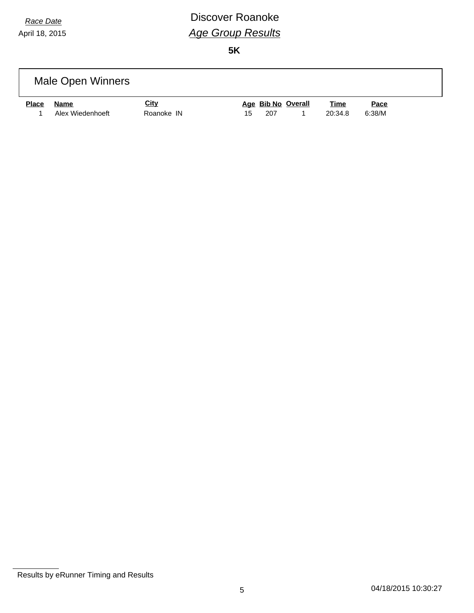# *Race Date* **Discover Roanoke** *Age Group Results*

|              | Male Open Winners |             |    |     |                    |             |        |  |
|--------------|-------------------|-------------|----|-----|--------------------|-------------|--------|--|
| <b>Place</b> | Name              | <u>City</u> |    |     | Age Bib No Overall | <u>Time</u> | Pace   |  |
|              | Alex Wiedenhoeft  | Roanoke IN  | 15 | 207 |                    | 20:34.8     | 6:38/M |  |

Results by eRunner Timing and Results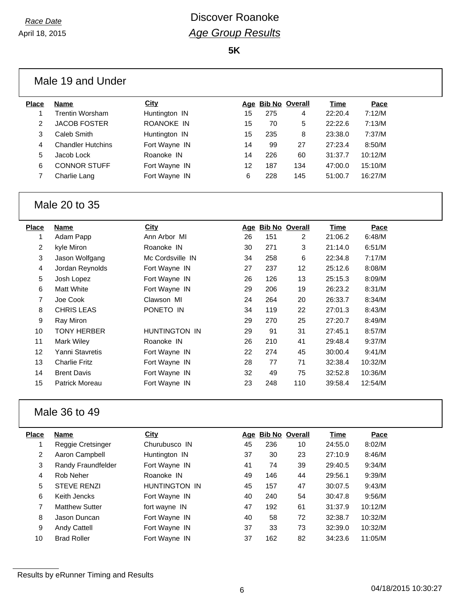**5K**

|              | Male 19 and Under        |               |    |     |                    |         |         |
|--------------|--------------------------|---------------|----|-----|--------------------|---------|---------|
| <b>Place</b> | <b>Name</b>              | <b>City</b>   |    |     | Age Bib No Overall | Time    | Pace    |
|              | <b>Trentin Worsham</b>   | Huntington IN | 15 | 275 | 4                  | 22:20.4 | 7:12/M  |
| 2            | <b>JACOB FOSTER</b>      | ROANOKE IN    | 15 | 70  | 5                  | 22:22.6 | 7:13/M  |
| 3            | Caleb Smith              | Huntington IN | 15 | 235 | 8                  | 23:38.0 | 7:37/M  |
| 4            | <b>Chandler Hutchins</b> | Fort Wayne IN | 14 | 99  | 27                 | 27:23.4 | 8:50/M  |
| 5            | Jacob Lock               | Roanoke IN    | 14 | 226 | 60                 | 31:37.7 | 10:12/M |
| 6            | <b>CONNOR STUFF</b>      | Fort Wayne IN | 12 | 187 | 134                | 47:00.0 | 15:10/M |
|              | Charlie Lang             | Fort Wayne IN | 6  | 228 | 145                | 51:00.7 | 16:27/M |

#### Male 20 to 35

| Place          | Name                 | <b>City</b>      | Age | <b>Bib No Overall</b> |     | Time    | Pace    |
|----------------|----------------------|------------------|-----|-----------------------|-----|---------|---------|
|                | Adam Papp            | Ann Arbor MI     | 26  | 151                   | 2   | 21:06.2 | 6:48/M  |
| $\overline{2}$ | kyle Miron           | Roanoke IN       | 30  | 271                   | 3   | 21:14.0 | 6:51/M  |
| 3              | Jason Wolfgang       | Mc Cordsville IN | 34  | 258                   | 6   | 22:34.8 | 7:17/M  |
| 4              | Jordan Reynolds      | Fort Wayne IN    | 27  | 237                   | 12  | 25:12.6 | 8:08/M  |
| 5              | Josh Lopez           | Fort Wayne IN    | 26  | 126                   | 13  | 25:15.3 | 8:09/M  |
| 6              | <b>Matt White</b>    | Fort Wayne IN    | 29  | 206                   | 19  | 26:23.2 | 8:31/M  |
| 7              | Joe Cook             | Clawson MI       | 24  | 264                   | 20  | 26:33.7 | 8:34/M  |
| 8              | <b>CHRIS LEAS</b>    | PONETO IN        | 34  | 119                   | 22  | 27:01.3 | 8:43/M  |
| 9              | Ray Miron            |                  | 29  | 270                   | 25  | 27:20.7 | 8:49/M  |
| 10             | <b>TONY HERBER</b>   | HUNTINGTON IN    | 29  | 91                    | 31  | 27:45.1 | 8:57/M  |
| 11             | Mark Wiley           | Roanoke IN       | 26  | 210                   | 41  | 29:48.4 | 9:37/M  |
| 12             | Yanni Stavretis      | Fort Wayne IN    | 22  | 274                   | 45  | 30:00.4 | 9:41/M  |
| 13             | <b>Charlie Fritz</b> | Fort Wayne IN    | 28  | 77                    | 71  | 32:38.4 | 10:32/M |
| 14             | <b>Brent Davis</b>   | Fort Wayne IN    | 32  | 49                    | 75  | 32:52.8 | 10:36/M |
| 15             | Patrick Moreau       | Fort Wayne IN    | 23  | 248                   | 110 | 39:58.4 | 12:54/M |
|                |                      |                  |     |                       |     |         |         |

### Male 36 to 49

| Place | <b>Name</b>           | City                 | Age | <b>Bib No Overall</b> |    | Time    | Pace    |
|-------|-----------------------|----------------------|-----|-----------------------|----|---------|---------|
|       | Reggie Cretsinger     | Churubusco IN        | 45  | 236                   | 10 | 24:55.0 | 8:02/M  |
| 2     | Aaron Campbell        | Huntington IN        | 37  | 30                    | 23 | 27:10.9 | 8:46/M  |
| 3     | Randy Fraundfelder    | Fort Wayne IN        | 41  | 74                    | 39 | 29:40.5 | 9:34/M  |
| 4     | Rob Neher             | Roanoke IN           | 49  | 146                   | 44 | 29:56.1 | 9:39/M  |
| 5     | <b>STEVE RENZI</b>    | <b>HUNTINGTON IN</b> | 45  | 157                   | 47 | 30:07.5 | 9:43/M  |
| 6     | Keith Jencks          | Fort Wayne IN        | 40  | 240                   | 54 | 30:47.8 | 9:56/M  |
| 7     | <b>Matthew Sutter</b> | fort wayne IN        | 47  | 192                   | 61 | 31:37.9 | 10:12/M |
| 8     | Jason Duncan          | Fort Wayne IN        | 40  | 58                    | 72 | 32:38.7 | 10:32/M |
| 9     | <b>Andy Cattell</b>   | Fort Wayne IN        | 37  | 33                    | 73 | 32:39.0 | 10:32/M |
| 10    | <b>Brad Roller</b>    | Fort Wayne IN        | 37  | 162                   | 82 | 34:23.6 | 11:05/M |
|       |                       |                      |     |                       |    |         |         |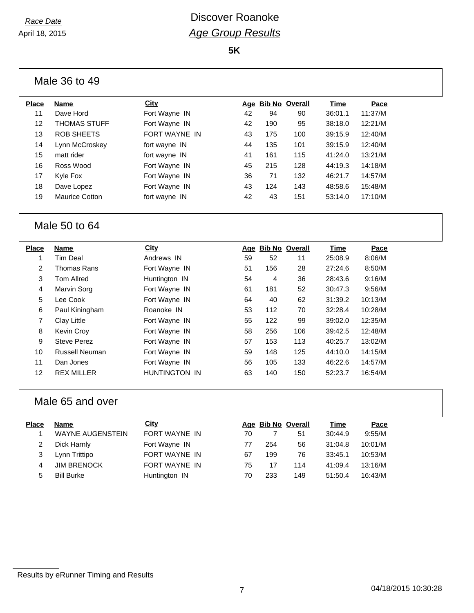**5K**

| Place | Name                  | <b>City</b>   |    |     | Age Bib No Overall | Time    | Pace    |
|-------|-----------------------|---------------|----|-----|--------------------|---------|---------|
| 11    | Dave Hord             | Fort Wayne IN | 42 | 94  | 90                 | 36:01.1 | 11:37/M |
| 12    | <b>THOMAS STUFF</b>   | Fort Wayne IN | 42 | 190 | 95                 | 38:18.0 | 12:21/M |
| 13    | ROB SHEETS            | FORT WAYNE IN | 43 | 175 | 100                | 39:15.9 | 12:40/M |
| 14    | Lynn McCroskey        | fort wayne IN | 44 | 135 | 101                | 39:15.9 | 12:40/M |
| 15    | matt rider            | fort wayne IN | 41 | 161 | 115                | 41:24.0 | 13:21/M |
| 16    | Ross Wood             | Fort Wayne IN | 45 | 215 | 128                | 44:19.3 | 14:18/M |
| 17    | Kyle Fox              | Fort Wayne IN | 36 | 71  | 132                | 46:21.7 | 14:57/M |
| 18    | Dave Lopez            | Fort Wayne IN | 43 | 124 | 143                | 48:58.6 | 15:48/M |
| 19    | <b>Maurice Cotton</b> | fort wayne IN | 42 | 43  | 151                | 53:14.0 | 17:10/M |
|       |                       |               |    |     |                    |         |         |

#### Male 50 to 64

| <b>Name</b>        | City                 |    |     |     | Time               | Pace    |
|--------------------|----------------------|----|-----|-----|--------------------|---------|
| Tim Deal           | Andrews IN           | 59 | 52  | 11  | 25:08.9            | 8:06/M  |
| Thomas Rans        | Fort Wayne IN        | 51 | 156 | 28  | 27:24.6            | 8:50/M  |
| <b>Tom Allred</b>  | Huntington IN        | 54 | 4   | 36  | 28:43.6            | 9:16/M  |
| Marvin Sorg        | Fort Wayne IN        | 61 | 181 | 52  | 30:47.3            | 9:56/M  |
| Lee Cook           | Fort Wayne IN        | 64 | 40  | 62  | 31:39.2            | 10:13/M |
| Paul Kiningham     | Roanoke IN           | 53 | 112 | 70  | 32:28.4            | 10:28/M |
| Clay Little        | Fort Wayne IN        | 55 | 122 | 99  | 39:02.0            | 12:35/M |
| Kevin Croy         | Fort Wayne IN        | 58 | 256 | 106 | 39:42.5            | 12:48/M |
| <b>Steve Perez</b> | Fort Wayne IN        | 57 | 153 | 113 | 40:25.7            | 13:02/M |
| Russell Neuman     | Fort Wayne IN        | 59 | 148 | 125 | 44:10.0            | 14:15/M |
| Dan Jones          | Fort Wayne IN        | 56 | 105 | 133 | 46:22.6            | 14:57/M |
| <b>REX MILLER</b>  | <b>HUNTINGTON IN</b> | 63 | 140 | 150 | 52:23.7            | 16:54/M |
|                    |                      |    |     |     | Age Bib No Overall |         |

#### Male 65 and over

| <b>Place</b> | Name                    | City          |    | Age Bib No Overall |     | Time    | Pace    |
|--------------|-------------------------|---------------|----|--------------------|-----|---------|---------|
|              | <b>WAYNE AUGENSTEIN</b> | FORT WAYNE IN | 70 |                    | 51  | 30:44.9 | 9:55/M  |
|              | Dick Harnly             | Fort Wayne IN | 77 | 254                | 56  | 31:04.8 | 10:01/M |
|              | Lynn Trittipo           | FORT WAYNE IN | 67 | 199                | 76  | 33:45.1 | 10:53/M |
| 4            | <b>JIM BRENOCK</b>      | FORT WAYNE IN | 75 | 17                 | 114 | 41:09.4 | 13:16/M |
| 5            | <b>Bill Burke</b>       | Huntington IN | 70 | 233                | 149 | 51:50.4 | 16:43/M |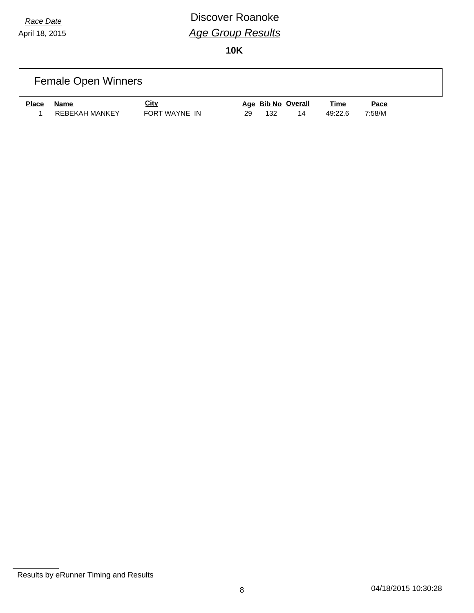## *Race Date* **Discover Roanoke** *Age Group Results*

|              | <b>Female Open Winners</b> |                              |                                       |                        |                |  |
|--------------|----------------------------|------------------------------|---------------------------------------|------------------------|----------------|--|
| <b>Place</b> | Name<br>REBEKAH MANKEY     | <u>City</u><br>FORT WAYNE IN | Age Bib No Overall<br>132<br>14<br>29 | <u>Time</u><br>49:22.6 | Pace<br>7:58/M |  |

Results by eRunner Timing and Results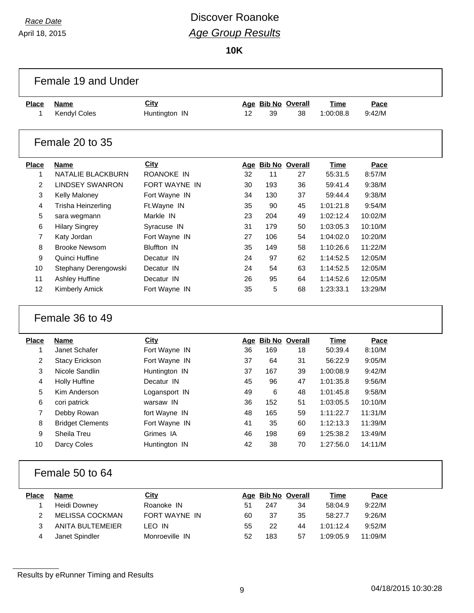# *Race Date* **Discover Roanoke** *Age Group Results*

**10K**

|                   | Female 19 and Under         |                              |    |     |                          |                          |                |  |
|-------------------|-----------------------------|------------------------------|----|-----|--------------------------|--------------------------|----------------|--|
| <b>Place</b><br>1 | <b>Name</b><br>Kendyl Coles | <b>City</b><br>Huntington IN | 12 | 39  | Age Bib No Overall<br>38 | <b>Time</b><br>1:00:08.8 | Pace<br>9:42/M |  |
|                   | Female 20 to 35             |                              |    |     |                          |                          |                |  |
| <b>Place</b>      | <b>Name</b>                 | City                         |    |     | Age Bib No Overall       | <b>Time</b>              | Pace           |  |
| 1                 | NATALIE BLACKBURN           | ROANOKE IN                   | 32 | 11  | 27                       | 55:31.5                  | 8:57/M         |  |
| 2                 | <b>LINDSEY SWANRON</b>      | FORT WAYNE IN                | 30 | 193 | 36                       | 59:41.4                  | 9:38/M         |  |
| 3                 | Kelly Maloney               | Fort Wayne IN                | 34 | 130 | 37                       | 59:44.4                  | 9:38/M         |  |
| 4                 | Trisha Heinzerling          | Ft.Wayne IN                  | 35 | 90  | 45                       | 1:01:21.8                | 9:54/M         |  |
| 5                 | sara wegmann                | Markle IN                    | 23 | 204 | 49                       | 1:02:12.4                | 10:02/M        |  |
| 6                 | <b>Hilary Singrey</b>       | Syracuse IN                  | 31 | 179 | 50                       | 1:03:05.3                | 10:10/M        |  |
| 7                 | Katy Jordan                 | Fort Wayne IN                | 27 | 106 | 54                       | 1:04:02.0                | 10:20/M        |  |
| 8                 | <b>Brooke Newsom</b>        | <b>Bluffton IN</b>           | 35 | 149 | 58                       | 1:10:26.6                | 11:22/M        |  |
| 9                 | Quinci Huffine              | Decatur IN                   | 24 | 97  | 62                       | 1:14:52.5                | 12:05/M        |  |
| 10                | Stephany Derengowski        | Decatur IN                   | 24 | 54  | 63                       | 1:14:52.5                | 12:05/M        |  |
| 11                | Ashley Huffine              | Decatur IN                   | 26 | 95  | 64                       | 1:14:52.6                | 12:05/M        |  |
| 12                | Kimberly Amick              | Fort Wayne IN                | 35 | 5   | 68                       | 1:23:33.1                | 13:29/M        |  |
|                   | Female 36 to 49             |                              |    |     |                          |                          |                |  |
| <b>Place</b>      | Name                        | <b>City</b>                  |    |     | Age Bib No Overall       | <b>Time</b>              | Pace           |  |
| 1                 | Janet Schafer               | Fort Wayne IN                | 36 | 169 | 18                       | 50:39.4                  | 8:10/M         |  |
| 2                 | <b>Stacy Erickson</b>       | Fort Wayne IN                | 37 | 64  | 31                       | 56:22.9                  | 9:05/M         |  |
| 3                 | Nicole Sandlin              | Huntington IN                | 37 | 167 | 39                       | 1:00:08.9                | 9:42/M         |  |
| 4                 | <b>Holly Huffine</b>        | Decatur IN                   | 45 | 96  | 47                       | 1:01:35.8                | 9:56/M         |  |
| 5                 | Kim Anderson                | Logansport IN                | 49 | 6   | 48                       | 1:01:45.8                | 9:58/M         |  |
| 6                 | cori patrick                | warsaw IN                    | 36 | 152 | 51                       | 1:03:05.5                | 10:10/M        |  |
| 7                 | Debby Rowan                 | fort Wayne IN                | 48 | 165 | 59                       | 1:11:22.7                | 11:31/M        |  |
| 8                 | <b>Bridget Clements</b>     | Fort Wayne IN                | 41 | 35  | 60                       | 1:12:13.3                | 11:39/M        |  |
| 9                 | Sheila Treu                 | Grimes IA                    | 46 | 198 | 69                       | 1:25:38.2                | 13:49/M        |  |
| 10                | Darcy Coles                 | Huntington IN                | 42 | 38  | 70                       | 1:27:56.0                | 14:11/M        |  |
|                   | Female 50 to 64             |                              |    |     |                          |                          |                |  |
| <b>Place</b>      | <b>Name</b>                 | <b>City</b>                  |    |     | Age Bib No Overall       | <b>Time</b>              | Pace           |  |
| 1                 | Heidi Downey                | Roanoke IN                   | 51 | 247 | 34                       | 58:04.9                  | 9:22/M         |  |
| 2                 | MELISSA COCKMAN             | FORT WAYNE IN                | 60 | 37  | 35                       | 58:27.7                  | 9:26/M         |  |
| 3                 | ANITA BULTEMEIER            | LEO IN                       | 55 | 22  | 44                       | 1:01:12.4                | 9:52/M         |  |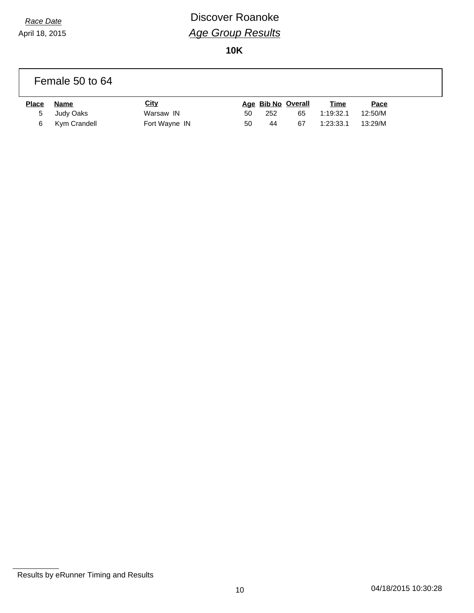# *Race Date* **Discover Roanoke** *Age Group Results*

**10K**

#### Female 50 to 64

| <b>Place</b> | Name           | <u>City</u>   |    |     | Age Bib No Overall | <u>Time</u> | Pace    |
|--------------|----------------|---------------|----|-----|--------------------|-------------|---------|
|              | 5 Judy Oaks    | Warsaw IN     | 50 | 252 | 65                 | 1:19:32.1   | 12:50/M |
|              | 6 Kym Crandell | Fort Wayne IN | 50 | 44  | 67                 | 1:23:33.1   | 13:29/M |

Results by eRunner Timing and Results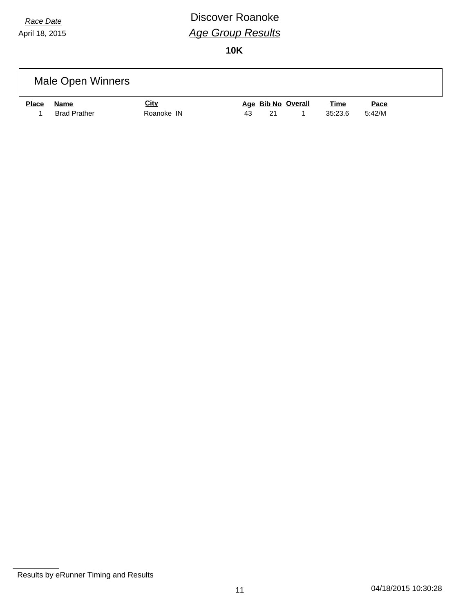# *Race Date* **Discover Roanoke** *Age Group Results*

|              | Male Open Winners           |                           |    |    |                    |                        |                       |  |
|--------------|-----------------------------|---------------------------|----|----|--------------------|------------------------|-----------------------|--|
| <b>Place</b> | Name<br><b>Brad Prather</b> | <u>City</u><br>Roanoke IN | 43 | 21 | Age Bib No Overall | <u>Time</u><br>35:23.6 | <u>Pace</u><br>5:42/M |  |

Results by eRunner Timing and Results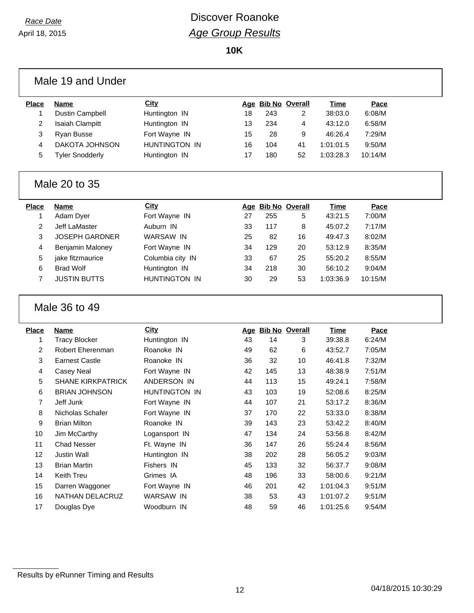|                | Male 19 and Under        |                      |    |     |                    |             |         |  |
|----------------|--------------------------|----------------------|----|-----|--------------------|-------------|---------|--|
| <b>Place</b>   | <b>Name</b>              | <b>City</b>          |    |     | Age Bib No Overall | <b>Time</b> | Pace    |  |
| 1              | Dustin Campbell          | Huntington IN        | 18 | 243 | $\overline{2}$     | 38:03.0     | 6:08/M  |  |
| $\overline{c}$ | <b>Isaiah Clampitt</b>   | Huntington IN        | 13 | 234 | 4                  | 43:12.0     | 6:58/M  |  |
| 3              | Ryan Busse               | Fort Wayne IN        | 15 | 28  | 9                  | 46:26.4     | 7:29/M  |  |
| 4              | DAKOTA JOHNSON           | HUNTINGTON IN        | 16 | 104 | 41                 | 1:01:01.5   | 9:50/M  |  |
| 5              | <b>Tyler Snodderly</b>   | Huntington IN        | 17 | 180 | 52                 | 1:03:28.3   | 10:14/M |  |
|                | Male 20 to 35            |                      |    |     |                    |             |         |  |
| <b>Place</b>   | <b>Name</b>              | <b>City</b>          |    |     | Age Bib No Overall | Time        | Pace    |  |
| 1              | Adam Dyer                | Fort Wayne IN        | 27 | 255 | 5                  | 43:21.5     | 7:00/M  |  |
| $\overline{2}$ | Jeff LaMaster            | Auburn IN            | 33 | 117 | 8                  | 45:07.2     | 7:17/M  |  |
| 3              | <b>JOSEPH GARDNER</b>    | <b>WARSAW IN</b>     | 25 | 82  | 16                 | 49:47.3     | 8:02/M  |  |
| 4              | Benjamin Maloney         | Fort Wayne IN        | 34 | 129 | 20                 | 53:12.9     | 8:35/M  |  |
| 5              | jake fitzmaurice         | Columbia city IN     | 33 | 67  | 25                 | 55:20.2     | 8:55/M  |  |
| 6              | <b>Brad Wolf</b>         | Huntington IN        | 34 | 218 | 30                 | 56:10.2     | 9:04/M  |  |
| $\overline{7}$ | <b>JUSTIN BUTTS</b>      | <b>HUNTINGTON IN</b> | 30 | 29  | 53                 | 1:03:36.9   | 10:15/M |  |
|                | Male 36 to 49            |                      |    |     |                    |             |         |  |
| <b>Place</b>   | <b>Name</b>              | <b>City</b>          |    |     | Age Bib No Overall | <b>Time</b> | Pace    |  |
| 1              | <b>Tracy Blocker</b>     | Huntington IN        | 43 | 14  | 3                  | 39:38.8     | 6:24/M  |  |
| $\overline{c}$ | <b>Robert Eherenman</b>  | Roanoke IN           | 49 | 62  | 6                  | 43:52.7     | 7:05/M  |  |
| 3              | <b>Earnest Castle</b>    | Roanoke IN           | 36 | 32  | 10                 | 46:41.8     | 7:32/M  |  |
| 4              | Casey Neal               | Fort Wayne IN        | 42 | 145 | 13                 | 48:38.9     | 7:51/M  |  |
| 5              | <b>SHANE KIRKPATRICK</b> | ANDERSON IN          | 44 | 113 | 15                 | 49:24.1     | 7:58/M  |  |
| 6              | <b>BRIAN JOHNSON</b>     | HUNTINGTON IN        | 43 | 103 | 19                 | 52:08.6     | 8:25/M  |  |
| 7              | Jeff Junk                | Fort Wayne IN        | 44 | 107 | 21                 | 53:17.2     | 8:36/M  |  |
| 8              | Nicholas Schafer         | Fort Wayne IN        | 37 | 170 | 22                 | 53:33.0     | 8:38/M  |  |
| 9              | <b>Brian Milton</b>      | Roanoke IN           | 39 | 143 | 23                 | 53:42.2     | 8:40/M  |  |
| 10             | Jim McCarthy             | Logansport IN        | 47 | 134 | 24                 | 53:56.8     | 8:42/M  |  |
| 11             | <b>Chad Nesser</b>       | Ft. Wayne IN         | 36 | 147 | 26                 | 55:24.4     | 8:56/M  |  |
| 12             | <b>Justin Wall</b>       | Huntington IN        | 38 | 202 | 28                 | 56:05.2     | 9:03/M  |  |
| 13             | <b>Brian Martin</b>      | Fishers IN           | 45 | 133 | 32                 | 56:37.7     | 9:08/M  |  |
| 14             | Keith Treu               | Grimes IA            | 48 | 196 | 33                 | 58:00.6     | 9:21/M  |  |
| 15             | Darren Waggoner          | Fort Wayne IN        | 46 | 201 | 42                 | 1:01:04.3   | 9:51/M  |  |
| 16             | NATHAN DELACRUZ          | WARSAW IN            | 38 | 53  | 43                 | 1:01:07.2   | 9:51/M  |  |
|                |                          |                      |    |     | 46                 | 1:01:25.6   |         |  |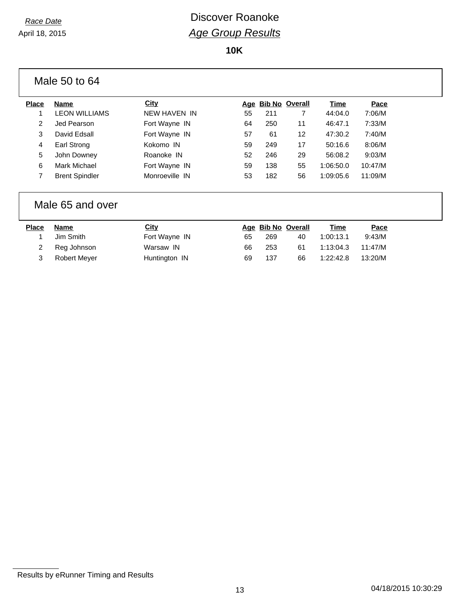**10K**

|              | Male 50 to 64         |                |    |     |                    |           |         |  |
|--------------|-----------------------|----------------|----|-----|--------------------|-----------|---------|--|
| <b>Place</b> | Name                  | <b>City</b>    |    |     | Age Bib No Overall | Time      | Pace    |  |
|              | <b>LEON WILLIAMS</b>  | NEW HAVEN IN   | 55 | 211 |                    | 44:04.0   | 7:06/M  |  |
| 2            | Jed Pearson           | Fort Wayne IN  | 64 | 250 | 11                 | 46:47.1   | 7:33/M  |  |
| 3            | David Edsall          | Fort Wayne IN  | 57 | 61  | 12                 | 47:30.2   | 7:40/M  |  |
| 4            | Earl Strong           | Kokomo IN      | 59 | 249 | 17                 | 50:16.6   | 8:06/M  |  |
| 5            | John Downey           | Roanoke IN     | 52 | 246 | 29                 | 56:08.2   | 9:03/M  |  |
| 6            | Mark Michael          | Fort Wayne IN  | 59 | 138 | 55                 | 1:06:50.0 | 10:47/M |  |
| 7            | <b>Brent Spindler</b> | Monroeville IN | 53 | 182 | 56                 | 1:09:05.6 | 11:09/M |  |
|              |                       |                |    |     |                    |           |         |  |

#### Male 65 and over

| Place | Name          | City          |    | Age Bib No Overall |    | Time      | <u>Pace</u> |
|-------|---------------|---------------|----|--------------------|----|-----------|-------------|
|       | Jim Smith     | Fort Wayne IN | 65 | 269                | 40 | 1:00:13.1 | 9:43/M      |
|       | 2 Reg Johnson | Warsaw IN     | 66 | 253                | 61 | 1:13:04.3 | 11:47/M     |
|       | Robert Meyer  | Huntington IN | 69 | 137                | 66 | 1:22:42.8 | 13:20/M     |

Results by eRunner Timing and Results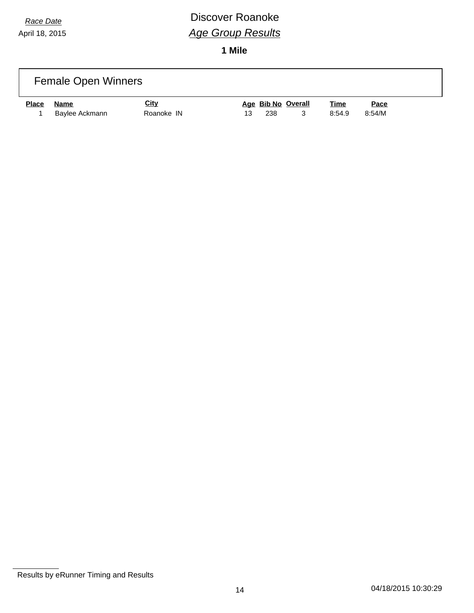## *Race Date* **Discover Roanoke** *Age Group Results*

**1 Mile**

|              | <b>Female Open Winners</b>    |                           |    |     |                    |                       |                       |  |
|--------------|-------------------------------|---------------------------|----|-----|--------------------|-----------------------|-----------------------|--|
| <b>Place</b> | <b>Name</b><br>Baylee Ackmann | <u>City</u><br>Roanoke IN | 13 | 238 | Age Bib No Overall | <u>Time</u><br>8:54.9 | <u>Pace</u><br>8:54/M |  |

**Results by eRunner Timing and Results**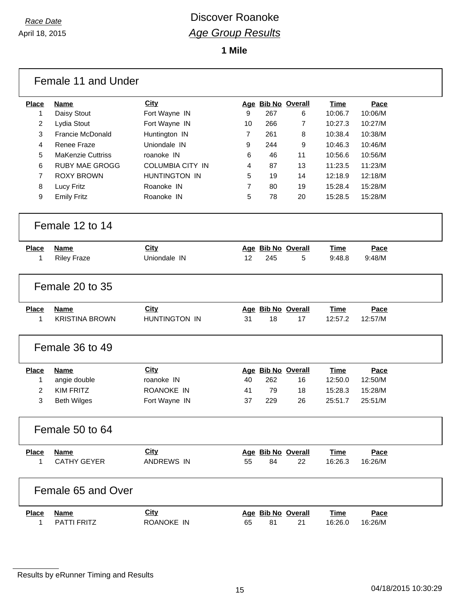**1 Mile**

|                | Female 11 and Under      |                         |    |     |                    |             |         |
|----------------|--------------------------|-------------------------|----|-----|--------------------|-------------|---------|
| <b>Place</b>   | <b>Name</b>              | City                    |    |     | Age Bib No Overall | <b>Time</b> | Pace    |
| 1              | Daisy Stout              | Fort Wayne IN           | 9  | 267 | 6                  | 10:06.7     | 10:06/M |
| 2              | Lydia Stout              | Fort Wayne IN           | 10 | 266 | $\overline{7}$     | 10:27.3     | 10:27/M |
| 3              | <b>Francie McDonald</b>  | Huntington IN           | 7  | 261 | 8                  | 10:38.4     | 10:38/M |
| 4              | Renee Fraze              | Uniondale IN            | 9  | 244 | 9                  | 10:46.3     | 10:46/M |
| 5              | <b>MaKenzie Cuttriss</b> | roanoke IN              | 6  | 46  | 11                 | 10:56.6     | 10:56/M |
| 6              | <b>RUBY MAE GROGG</b>    | <b>COLUMBIA CITY IN</b> | 4  | 87  | 13                 | 11:23.5     | 11:23/M |
| $\overline{7}$ | <b>ROXY BROWN</b>        | <b>HUNTINGTON IN</b>    | 5  | 19  | 14                 | 12:18.9     | 12:18/M |
| 8              | Lucy Fritz               | Roanoke IN              | 7  | 80  | 19                 | 15:28.4     | 15:28/M |
| 9              | <b>Emily Fritz</b>       | Roanoke IN              | 5  | 78  | 20                 | 15:28.5     | 15:28/M |
|                | Female 12 to 14          |                         |    |     |                    |             |         |
| <b>Place</b>   | <b>Name</b>              | City                    |    |     | Age Bib No Overall | Time        | Pace    |
| 1              | <b>Riley Fraze</b>       | Uniondale IN            | 12 | 245 | 5                  | 9:48.8      | 9:48/M  |
|                | Female 20 to 35          |                         |    |     |                    |             |         |
| <b>Place</b>   | <b>Name</b>              | <b>City</b>             |    |     | Age Bib No Overall | Time        | Pace    |
| 1              | <b>KRISTINA BROWN</b>    | HUNTINGTON IN           | 31 | 18  | 17                 | 12:57.2     | 12:57/M |
|                | Female 36 to 49          |                         |    |     |                    |             |         |
| <b>Place</b>   | <b>Name</b>              | City                    |    |     | Age Bib No Overall | <b>Time</b> | Pace    |
| 1              | angie double             | roanoke IN              | 40 | 262 | 16                 | 12:50.0     | 12:50/M |
| $\overline{2}$ | <b>KIM FRITZ</b>         | ROANOKE IN              | 41 | 79  | 18                 | 15:28.3     | 15:28/M |
| 3              | <b>Beth Wilges</b>       | Fort Wayne IN           | 37 | 229 | 26                 | 25:51.7     | 25:51/M |
|                | Female 50 to 64          |                         |    |     |                    |             |         |
| <b>Place</b>   | Name                     | City                    |    |     | Age Bib No Overall | Time        | Pace    |
| 1              | <b>CATHY GEYER</b>       | ANDREWS IN              | 55 | 84  | 22                 | 16:26.3     | 16:26/M |
|                | Female 65 and Over       |                         |    |     |                    |             |         |
| <b>Place</b>   | Name                     | City                    |    |     | Age Bib No Overall | <b>Time</b> | Pace    |
| 1              | PATTI FRITZ              | ROANOKE IN              | 65 | 81  | 21                 | 16:26.0     | 16:26/M |

**Results by eRunner Timing and Results**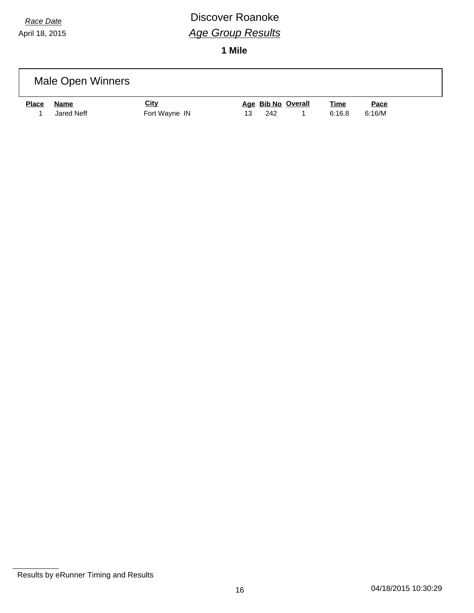## *Race Date* **Discover Roanoke** *Age Group Results*

**1 Mile**

|              | Male Open Winners  |                              |    |     |                    |                       |                       |  |
|--------------|--------------------|------------------------------|----|-----|--------------------|-----------------------|-----------------------|--|
| <b>Place</b> | Name<br>Jared Neff | <b>City</b><br>Fort Wayne IN | 13 | 242 | Age Bib No Overall | <u>Time</u><br>6:16.8 | <u>Pace</u><br>6:16/M |  |

**Results by eRunner Timing and Results**